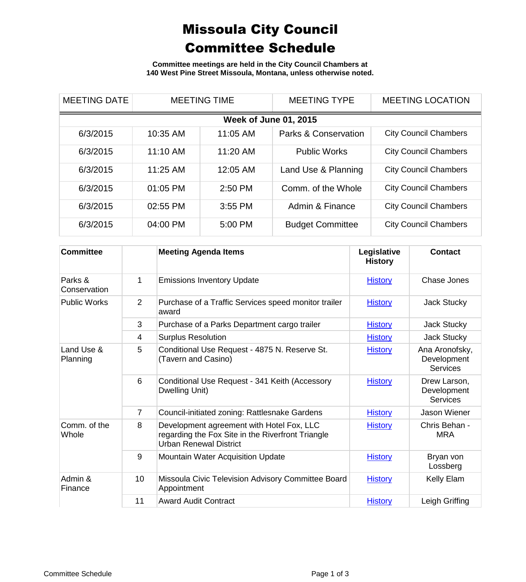## Missoula City Council Committee Schedule

**Committee meetings are held in the City Council Chambers at 140 West Pine Street Missoula, Montana, unless otherwise noted.**

| <b>MEETING DATE</b>          | <b>MEETING TIME</b> |           | <b>MEETING TYPE</b>             | <b>MEETING LOCATION</b>      |  |
|------------------------------|---------------------|-----------|---------------------------------|------------------------------|--|
| <b>Week of June 01, 2015</b> |                     |           |                                 |                              |  |
| 6/3/2015                     | 10:35 AM            | 11:05 AM  | <b>Parks &amp; Conservation</b> | <b>City Council Chambers</b> |  |
| 6/3/2015                     | 11:10 AM            | 11:20 AM  | <b>Public Works</b>             | <b>City Council Chambers</b> |  |
| 6/3/2015                     | 11:25 AM            | 12:05 AM  | Land Use & Planning             | <b>City Council Chambers</b> |  |
| 6/3/2015                     | 01:05 PM            | $2:50$ PM | Comm. of the Whole              | <b>City Council Chambers</b> |  |
| 6/3/2015                     | 02:55 PM            | 3:55 PM   | Admin & Finance                 | <b>City Council Chambers</b> |  |
| 6/3/2015                     | 04:00 PM            | 5:00 PM   | <b>Budget Committee</b>         | <b>City Council Chambers</b> |  |

| <b>Committee</b>        |                | <b>Meeting Agenda Items</b>                                                                                                     | Legislative<br><b>History</b> | <b>Contact</b>                                   |
|-------------------------|----------------|---------------------------------------------------------------------------------------------------------------------------------|-------------------------------|--------------------------------------------------|
| Parks &<br>Conservation | 1              | <b>Emissions Inventory Update</b>                                                                                               | <b>History</b>                | Chase Jones                                      |
| <b>Public Works</b>     | 2              | Purchase of a Traffic Services speed monitor trailer<br>award                                                                   | <b>History</b>                | <b>Jack Stucky</b>                               |
|                         | 3              | Purchase of a Parks Department cargo trailer                                                                                    | <b>History</b>                | Jack Stucky                                      |
|                         | 4              | <b>Surplus Resolution</b>                                                                                                       | <b>History</b>                | <b>Jack Stucky</b>                               |
| Land Use &<br>Planning  | 5              | Conditional Use Request - 4875 N. Reserve St.<br>(Tavern and Casino)                                                            | <b>History</b>                | Ana Aronofsky,<br>Development<br><b>Services</b> |
|                         | 6              | Conditional Use Request - 341 Keith (Accessory<br>Dwelling Unit)                                                                | <b>History</b>                | Drew Larson,<br>Development<br><b>Services</b>   |
|                         | $\overline{7}$ | Council-initiated zoning: Rattlesnake Gardens                                                                                   | <b>History</b>                | <b>Jason Wiener</b>                              |
| Comm. of the<br>Whole   | 8              | Development agreement with Hotel Fox, LLC<br>regarding the Fox Site in the Riverfront Triangle<br><b>Urban Renewal District</b> | <b>History</b>                | Chris Behan -<br><b>MRA</b>                      |
|                         | 9              | <b>Mountain Water Acquisition Update</b>                                                                                        | <b>History</b>                | Bryan von<br>Lossberg                            |
| Admin &<br>Finance      | 10             | Missoula Civic Television Advisory Committee Board<br>Appointment                                                               | <b>History</b>                | Kelly Elam                                       |
|                         | 11             | <b>Award Audit Contract</b>                                                                                                     | <b>History</b>                | Leigh Griffing                                   |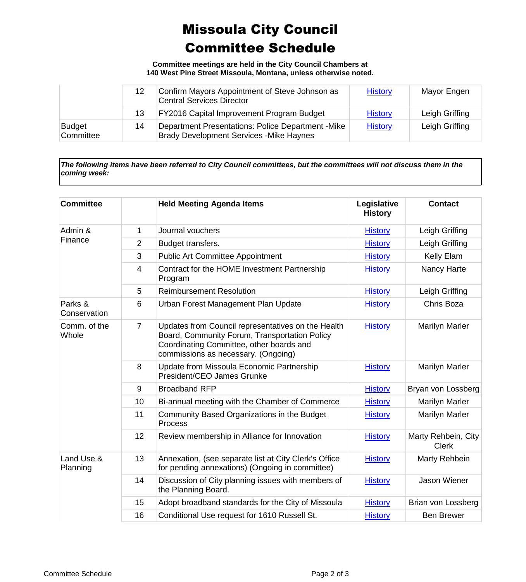## Missoula City Council Committee Schedule

**Committee meetings are held in the City Council Chambers at 140 West Pine Street Missoula, Montana, unless otherwise noted.**

|                             | 12 | Confirm Mayors Appointment of Steve Johnson as<br><b>Central Services Director</b>                    | <b>History</b> | Mayor Engen    |
|-----------------------------|----|-------------------------------------------------------------------------------------------------------|----------------|----------------|
|                             | 13 | FY2016 Capital Improvement Program Budget                                                             | <b>History</b> | Leigh Griffing |
| <b>Budget</b><br>∣Committee | 14 | Department Presentations: Police Department - Mike<br><b>Brady Development Services - Mike Haynes</b> | <b>History</b> | Leigh Griffing |

*The following items have been referred to City Council committees, but the committees will not discuss them in the coming week:*

| <b>Committee</b>        |                | <b>Held Meeting Agenda Items</b>                                                                                                                                                       | Legislative<br><b>History</b> | <b>Contact</b>                      |
|-------------------------|----------------|----------------------------------------------------------------------------------------------------------------------------------------------------------------------------------------|-------------------------------|-------------------------------------|
| Admin &<br>Finance      | 1              | Journal vouchers                                                                                                                                                                       | <b>History</b>                | Leigh Griffing                      |
|                         | $\overline{2}$ | Budget transfers.                                                                                                                                                                      | <b>History</b>                | Leigh Griffing                      |
|                         | 3              | <b>Public Art Committee Appointment</b>                                                                                                                                                | <b>History</b>                | Kelly Elam                          |
|                         | $\overline{4}$ | Contract for the HOME Investment Partnership<br>Program                                                                                                                                | <b>History</b>                | Nancy Harte                         |
|                         | 5              | <b>Reimbursement Resolution</b>                                                                                                                                                        | <b>History</b>                | Leigh Griffing                      |
| Parks &<br>Conservation | 6              | Urban Forest Management Plan Update                                                                                                                                                    | <b>History</b>                | Chris Boza                          |
| Comm. of the<br>Whole   | $\overline{7}$ | Updates from Council representatives on the Health<br>Board, Community Forum, Transportation Policy<br>Coordinating Committee, other boards and<br>commissions as necessary. (Ongoing) | <b>History</b>                | <b>Marilyn Marler</b>               |
|                         | 8              | Update from Missoula Economic Partnership<br>President/CEO James Grunke                                                                                                                | <b>History</b>                | <b>Marilyn Marler</b>               |
|                         | 9              | <b>Broadband RFP</b>                                                                                                                                                                   | <b>History</b>                | Bryan von Lossberg                  |
|                         | 10             | Bi-annual meeting with the Chamber of Commerce                                                                                                                                         | <b>History</b>                | <b>Marilyn Marler</b>               |
|                         | 11             | Community Based Organizations in the Budget<br>Process                                                                                                                                 | <b>History</b>                | Marilyn Marler                      |
|                         | 12             | Review membership in Alliance for Innovation                                                                                                                                           | <b>History</b>                | Marty Rehbein, City<br><b>Clerk</b> |
| Land Use &<br>Planning  | 13             | Annexation, (see separate list at City Clerk's Office<br>for pending annexations) (Ongoing in committee)                                                                               | <b>History</b>                | Marty Rehbein                       |
|                         | 14             | Discussion of City planning issues with members of<br>the Planning Board.                                                                                                              | <b>History</b>                | Jason Wiener                        |
|                         | 15             | Adopt broadband standards for the City of Missoula                                                                                                                                     | <b>History</b>                | Brian von Lossberg                  |
|                         | 16             | Conditional Use request for 1610 Russell St.                                                                                                                                           | <b>History</b>                | <b>Ben Brewer</b>                   |